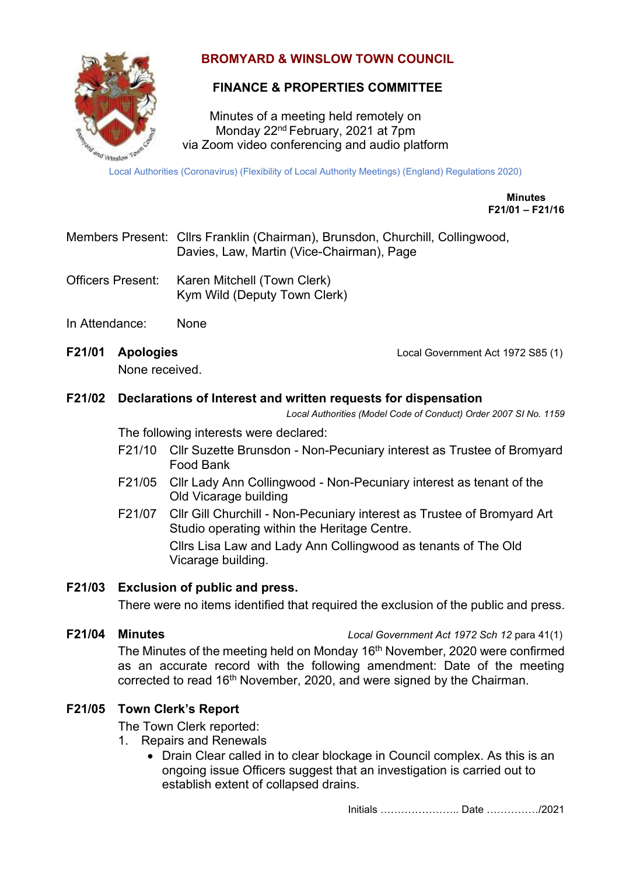

# **BROMYARD & WINSLOW TOWN COUNCIL**

# **FINANCE & PROPERTIES COMMITTEE**

Minutes of a meeting held remotely on Monday 22nd February, 2021 at 7pm via Zoom video conferencing and audio platform

Local Authorities (Coronavirus) (Flexibility of Local Authority Meetings) (England) Regulations 2020)

**Minutes F21/01 – F21/16**

- Members Present: Cllrs Franklin (Chairman), Brunsdon, Churchill, Collingwood, Davies, Law, Martin (Vice-Chairman), Page
- Officers Present: Karen Mitchell (Town Clerk) Kym Wild (Deputy Town Clerk)
- In Attendance: None
- 

None received.

**F21/01 Apologies** Local Government Act 1972 S85 (1)

#### **F21/02 Declarations of Interest and written requests for dispensation**

*Local Authorities (Model Code of Conduct) Order 2007 SI No. 1159*

The following interests were declared:

- F21/10 Cllr Suzette Brunsdon Non-Pecuniary interest as Trustee of Bromyard Food Bank
- F21/05 Cllr Lady Ann Collingwood Non-Pecuniary interest as tenant of the Old Vicarage building
- F21/07 Cllr Gill Churchill Non-Pecuniary interest as Trustee of Bromyard Art Studio operating within the Heritage Centre.

Cllrs Lisa Law and Lady Ann Collingwood as tenants of The Old Vicarage building.

#### **F21/03 Exclusion of public and press.**

There were no items identified that required the exclusion of the public and press.

**F21/04 Minutes** *Local Government Act 1972 Sch 12* para 41(1)

The Minutes of the meeting held on Monday 16<sup>th</sup> November, 2020 were confirmed as an accurate record with the following amendment: Date of the meeting corrected to read 16<sup>th</sup> November, 2020, and were signed by the Chairman.

## **F21/05 Town Clerk's Report**

The Town Clerk reported:

- 1. Repairs and Renewals
	- Drain Clear called in to clear blockage in Council complex. As this is an ongoing issue Officers suggest that an investigation is carried out to establish extent of collapsed drains.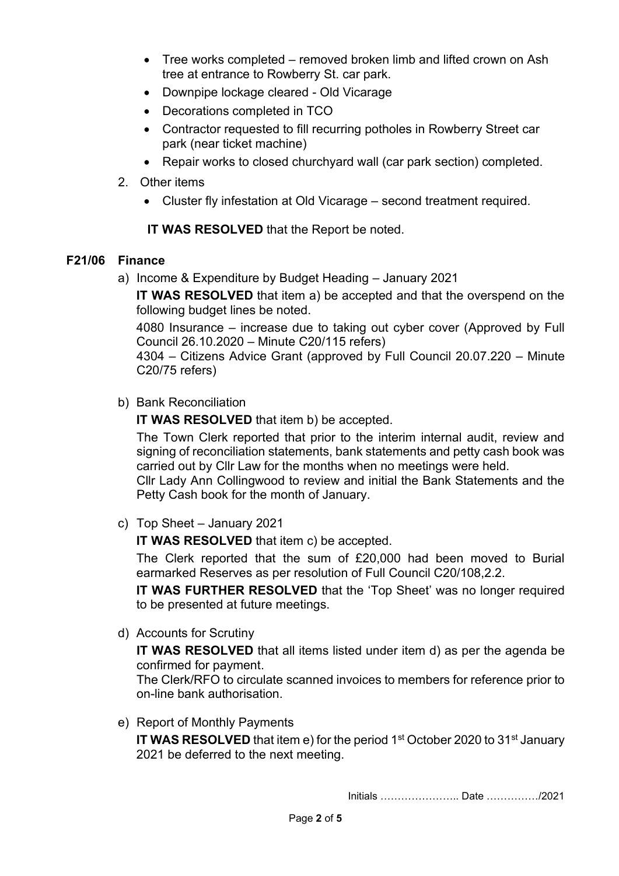- Tree works completed removed broken limb and lifted crown on Ash tree at entrance to Rowberry St. car park.
- Downpipe lockage cleared Old Vicarage
- Decorations completed in TCO
- Contractor requested to fill recurring potholes in Rowberry Street car park (near ticket machine)
- Repair works to closed churchyard wall (car park section) completed.
- 2. Other items
	- Cluster fly infestation at Old Vicarage second treatment required.

**IT WAS RESOLVED** that the Report be noted.

## **F21/06 Finance**

a) Income & Expenditure by Budget Heading – January 2021

**IT WAS RESOLVED** that item a) be accepted and that the overspend on the following budget lines be noted.

4080 Insurance – increase due to taking out cyber cover (Approved by Full Council 26.10.2020 – Minute C20/115 refers)

4304 – Citizens Advice Grant (approved by Full Council 20.07.220 – Minute C20/75 refers)

b) Bank Reconciliation

**IT WAS RESOLVED** that item b) be accepted.

The Town Clerk reported that prior to the interim internal audit, review and signing of reconciliation statements, bank statements and petty cash book was carried out by Cllr Law for the months when no meetings were held.

Cllr Lady Ann Collingwood to review and initial the Bank Statements and the Petty Cash book for the month of January.

c) Top Sheet – January 2021

**IT WAS RESOLVED** that item c) be accepted.

The Clerk reported that the sum of £20,000 had been moved to Burial earmarked Reserves as per resolution of Full Council C20/108,2.2.

**IT WAS FURTHER RESOLVED** that the 'Top Sheet' was no longer required to be presented at future meetings.

d) Accounts for Scrutiny

**IT WAS RESOLVED** that all items listed under item d) as per the agenda be confirmed for payment.

The Clerk/RFO to circulate scanned invoices to members for reference prior to on-line bank authorisation.

e) Report of Monthly Payments

**IT WAS RESOLVED** that item e) for the period 1<sup>st</sup> October 2020 to 31<sup>st</sup> January 2021 be deferred to the next meeting.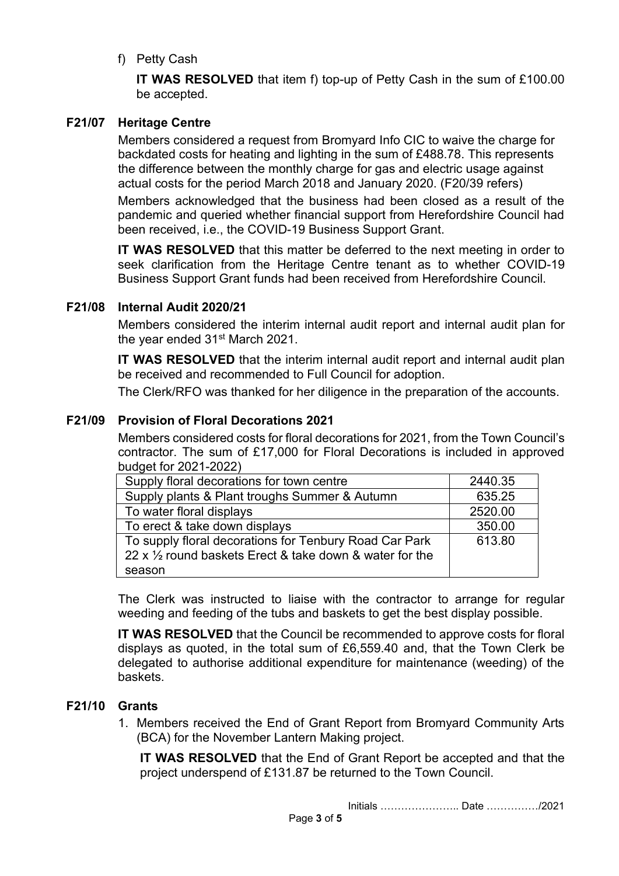f) Petty Cash

**IT WAS RESOLVED** that item f) top-up of Petty Cash in the sum of £100.00 be accepted.

## **F21/07 Heritage Centre**

Members considered a request from Bromyard Info CIC to waive the charge for backdated costs for heating and lighting in the sum of £488.78. This represents the difference between the monthly charge for gas and electric usage against actual costs for the period March 2018 and January 2020. (F20/39 refers)

Members acknowledged that the business had been closed as a result of the pandemic and queried whether financial support from Herefordshire Council had been received, i.e., the COVID-19 Business Support Grant.

**IT WAS RESOLVED** that this matter be deferred to the next meeting in order to seek clarification from the Heritage Centre tenant as to whether COVID-19 Business Support Grant funds had been received from Herefordshire Council.

## **F21/08 Internal Audit 2020/21**

Members considered the interim internal audit report and internal audit plan for the year ended 31st March 2021.

**IT WAS RESOLVED** that the interim internal audit report and internal audit plan be received and recommended to Full Council for adoption.

The Clerk/RFO was thanked for her diligence in the preparation of the accounts.

#### **F21/09 Provision of Floral Decorations 2021**

Members considered costs for floral decorations for 2021, from the Town Council's contractor. The sum of £17,000 for Floral Decorations is included in approved budget for 2021-2022)

| Supply floral decorations for town centre                          | 2440.35 |
|--------------------------------------------------------------------|---------|
| Supply plants & Plant troughs Summer & Autumn                      | 635.25  |
| To water floral displays                                           | 2520.00 |
| To erect & take down displays                                      | 350.00  |
| To supply floral decorations for Tenbury Road Car Park             | 613.80  |
| 22 x $\frac{1}{2}$ round baskets Erect & take down & water for the |         |
| season                                                             |         |
|                                                                    |         |

The Clerk was instructed to liaise with the contractor to arrange for regular weeding and feeding of the tubs and baskets to get the best display possible.

**IT WAS RESOLVED** that the Council be recommended to approve costs for floral displays as quoted, in the total sum of £6,559.40 and, that the Town Clerk be delegated to authorise additional expenditure for maintenance (weeding) of the baskets.

## **F21/10 Grants**

1. Members received the End of Grant Report from Bromyard Community Arts (BCA) for the November Lantern Making project.

**IT WAS RESOLVED** that the End of Grant Report be accepted and that the project underspend of £131.87 be returned to the Town Council.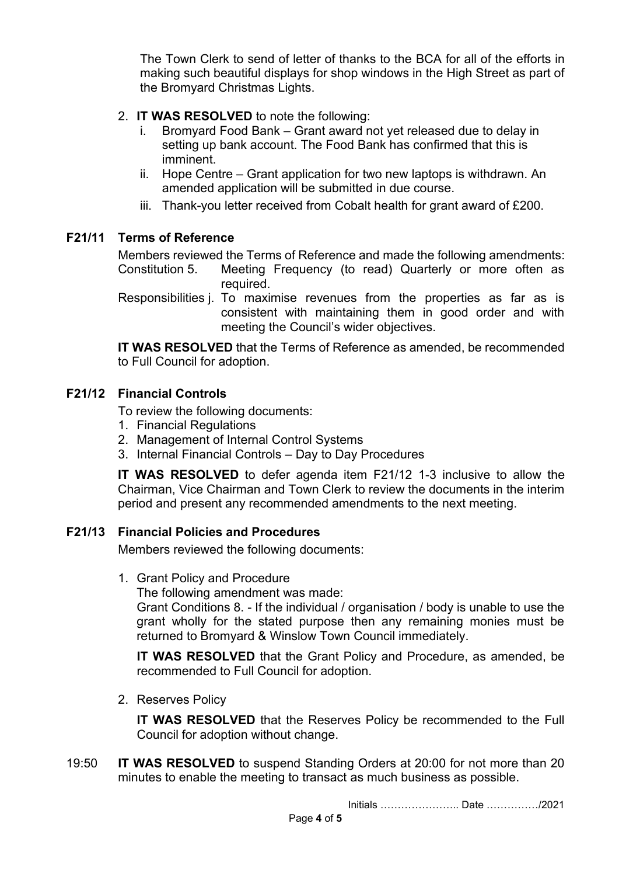The Town Clerk to send of letter of thanks to the BCA for all of the efforts in making such beautiful displays for shop windows in the High Street as part of the Bromyard Christmas Lights.

- 2. **IT WAS RESOLVED** to note the following:
	- i. Bromyard Food Bank Grant award not yet released due to delay in setting up bank account. The Food Bank has confirmed that this is imminent.
	- ii. Hope Centre Grant application for two new laptops is withdrawn. An amended application will be submitted in due course.
	- iii. Thank-you letter received from Cobalt health for grant award of £200.

#### **F21/11 Terms of Reference**

Members reviewed the Terms of Reference and made the following amendments: Constitution 5. Meeting Frequency (to read) Quarterly or more often as required.

Responsibilities j. To maximise revenues from the properties as far as is consistent with maintaining them in good order and with meeting the Council's wider objectives.

**IT WAS RESOLVED** that the Terms of Reference as amended, be recommended to Full Council for adoption.

#### **F21/12 Financial Controls**

To review the following documents:

- 1. Financial Regulations
- 2. Management of Internal Control Systems
- 3. Internal Financial Controls Day to Day Procedures

**IT WAS RESOLVED** to defer agenda item F21/12 1-3 inclusive to allow the Chairman, Vice Chairman and Town Clerk to review the documents in the interim period and present any recommended amendments to the next meeting.

## **F21/13 Financial Policies and Procedures**

Members reviewed the following documents:

1. Grant Policy and Procedure

The following amendment was made:

Grant Conditions 8. - If the individual / organisation / body is unable to use the grant wholly for the stated purpose then any remaining monies must be returned to Bromyard & Winslow Town Council immediately.

**IT WAS RESOLVED** that the Grant Policy and Procedure, as amended, be recommended to Full Council for adoption.

2. Reserves Policy

**IT WAS RESOLVED** that the Reserves Policy be recommended to the Full Council for adoption without change.

19:50 **IT WAS RESOLVED** to suspend Standing Orders at 20:00 for not more than 20 minutes to enable the meeting to transact as much business as possible.